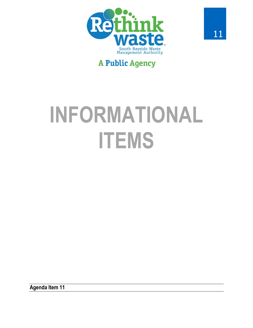

# **A Public Agency**

# INFORMATIONAL **ITEMS**

**Agenda Item 11**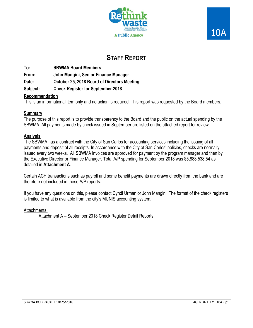



# **STAFF REPORT**

**To: SBWMA Board Members From: John Mangini, Senior Finance Manager Date: October 25, 2018 Board of Directors Meeting Subject: Check Register for September 2018** 

## **Recommendation**

This is an informational item only and no action is required. This report was requested by the Board members.

## **Summary**

The purpose of this report is to provide transparency to the Board and the public on the actual spending by the SBWMA. All payments made by check issued in September are listed on the attached report for review.

## **Analysis**

The SBWMA has a contract with the City of San Carlos for accounting services including the issuing of all payments and deposit of all receipts. In accordance with the City of San Carlos' policies, checks are normally issued every two weeks. All SBWMA invoices are approved for payment by the program manager and then by the Executive Director or Finance Manager. Total A/P spending for September 2018 was \$5,888,538.54 as detailed in **Attachment A**.

Certain ACH transactions such as payroll and some benefit payments are drawn directly from the bank and are therefore not included in these A/P reports.

If you have any questions on this, please contact Cyndi Urman or John Mangini. The format of the check registers is limited to what is available from the city's MUNIS accounting system.

#### Attachments:

Attachment A – September 2018 Check Register Detail Reports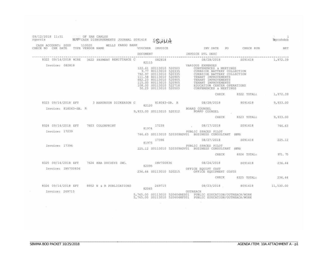| 09/12/2018 11:51 OF SAN CARLOS<br>rgarcia MARYCASH DISBURSEMENTS JOURNAL S091418 STRINI                                        |  |       |             |  |                                                                                                                                                                                                                                                    |                                                                                                               | Tapcshdsb |
|--------------------------------------------------------------------------------------------------------------------------------|--|-------|-------------|--|----------------------------------------------------------------------------------------------------------------------------------------------------------------------------------------------------------------------------------------------------|---------------------------------------------------------------------------------------------------------------|-----------|
| CASH ACCOUNT: S000 110020 WELLS FARGO BANK<br>CHECK NO CHK DATE TYPE VENDOR NAME WOUCHER INVOICE TWO INVIDATE PO CHECK RUN NET |  |       |             |  |                                                                                                                                                                                                                                                    |                                                                                                               |           |
|                                                                                                                                |  |       |             |  | DOCUMENT INVOICE DTL DESC                                                                                                                                                                                                                          |                                                                                                               |           |
|                                                                                                                                |  |       | 82115       |  |                                                                                                                                                                                                                                                    | 8322 09/14/2018 WIRE 3622 PAYMENT REMITTANCE C 082818 08/28/2018 5091418 1,972.39                             |           |
| Invoice: 082818                                                                                                                |  |       |             |  | 32115<br>122.61 S0113010 520503<br>9.77 S0113010 520335<br>792.97 S0113010 520335<br>792.97 S0113010 520335<br>111.58 80113010 520905<br>115.00 80113010 520905<br>115.00 80113010 520905<br>108.00 S0113010 522718<br>50.23 S0113010 520503<br>20 |                                                                                                               |           |
|                                                                                                                                |  |       |             |  |                                                                                                                                                                                                                                                    | CHECK 8322 TOTAL: 1,972.39                                                                                    |           |
|                                                                                                                                |  |       | 82120       |  |                                                                                                                                                                                                                                                    | 8323 09/14/2018 EFT 3 AARONSON DICKERSON C 818043-SB. R 08/28/2018 8091418                                    | 9,933.00  |
| Invoice: 818043-SB. R                                                                                                          |  |       |             |  | BOARD COUNSEL<br>9,933.00 S0113010 520312 BOARD COUNSEL                                                                                                                                                                                            |                                                                                                               |           |
|                                                                                                                                |  |       |             |  |                                                                                                                                                                                                                                                    | CHECK 8323 TOTAL: 9,933.00                                                                                    |           |
| 8324 09/14/2018 EFT 7603 COLORPRINT                                                                                            |  |       | 81974 17239 |  |                                                                                                                                                                                                                                                    | $08/17/2018$ S091418 746.63                                                                                   |           |
| Invoice: 17239                                                                                                                 |  |       |             |  | PUBLIC SPACES PILOT<br>746.63 S0113010 520309HDV01 BUSINESS CONSULTANT (HFH)                                                                                                                                                                       |                                                                                                               |           |
|                                                                                                                                |  | 81975 | 17396       |  |                                                                                                                                                                                                                                                    |                                                                                                               |           |
| Invoice: 17396                                                                                                                 |  |       |             |  | PUBLIC SPACES PILOT<br>225.12 S0113010 520309HDV01 BUSINESS CONSULTANT (HFH)                                                                                                                                                                       |                                                                                                               |           |
|                                                                                                                                |  |       |             |  |                                                                                                                                                                                                                                                    | CHECK 8324 TOTAL: 971.75                                                                                      |           |
| 8325 09/14/2018 EFT 7624 KBA DOCUSYS INC.                                                                                      |  |       |             |  |                                                                                                                                                                                                                                                    |                                                                                                               |           |
| Invoice: INV700836                                                                                                             |  |       |             |  |                                                                                                                                                                                                                                                    | INV700836 08/24/2018 5091418 236.44<br>82095 0FFICE EQUIPT COST 236.44 50113010 520215 OFFICE EQUIPMENT COSTS |           |
|                                                                                                                                |  |       |             |  |                                                                                                                                                                                                                                                    | CHECK 8325 TOTAL: 236.44                                                                                      |           |
| 8326 09/14/2018 EFT 8952 N & R PUBLICATIONS                                                                                    |  |       |             |  |                                                                                                                                                                                                                                                    |                                                                                                               |           |
| Invoice: 269715                                                                                                                |  |       |             |  | 5,765.00 S0113010 520604RES01 PUBLIC EDUCATION/OUTREACH/WORK<br>5,765.00 S0113010 520604MF001 PUBLIC EDUCATION/OUTREACH/WORK                                                                                                                       |                                                                                                               |           |

\_\_\_\_\_\_\_\_\_\_\_\_\_\_\_\_\_\_\_\_\_\_\_\_\_\_\_\_\_\_\_\_\_\_\_\_\_\_\_\_\_\_\_\_\_\_\_\_\_

\_\_\_\_\_\_\_\_\_\_\_\_\_\_\_\_\_\_\_\_\_\_\_\_\_\_\_\_\_\_\_\_\_\_\_\_\_\_\_\_\_\_\_\_\_\_\_\_\_\_\_\_ \_\_\_\_\_\_\_\_\_\_\_\_\_\_\_\_\_\_\_\_\_\_\_\_\_\_\_\_\_\_\_\_\_\_\_\_\_\_\_\_\_\_\_\_\_\_\_\_\_\_\_\_\_\_\_\_\_\_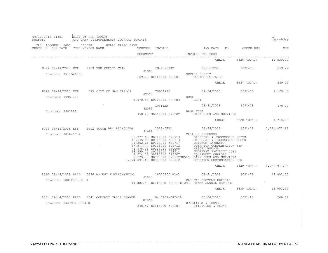| 09/12/2018 11:51<br>rgarcia                                                                                  | CITY OF SAN CARLOS       | A/P CASH DISBURSEMENTS JOURNAL S091418 |                                                         |                                                                                                                                                                                                                                                                                                                                                                                        |                                | gpcshdsb |
|--------------------------------------------------------------------------------------------------------------|--------------------------|----------------------------------------|---------------------------------------------------------|----------------------------------------------------------------------------------------------------------------------------------------------------------------------------------------------------------------------------------------------------------------------------------------------------------------------------------------------------------------------------------------|--------------------------------|----------|
| CASH ACCOUNT: S000 110020 WELLS FARGO BANK<br>CHECK NO CHK DATE TYPE VENDOR NAME                             |                          |                                        |                                                         |                                                                                                                                                                                                                                                                                                                                                                                        |                                |          |
|                                                                                                              |                          | DOCUMENT                               |                                                         | INVOICE DTL DESC                                                                                                                                                                                                                                                                                                                                                                       |                                |          |
|                                                                                                              |                          |                                        |                                                         | CHECK                                                                                                                                                                                                                                                                                                                                                                                  | 8326 TOTAL: 11,530.00          |          |
| 8327 09/14/2018 EFT 1419 THE OFFICE CITY<br>Invoice: IN-1526892                                              |                          |                                        | 259.22 S0113010 520201                                  | IN-1526892 09/05/2018 S091418 259.22<br>OFFICE SUPPLY<br>OFFICE SUPPLIES                                                                                                                                                                                                                                                                                                               | CHECK 8327 TOTAL: 259.22       |          |
| 8328 09/14/2018 EFT 725 CITY OF SAN CARLOS 79951226 09/04/2018 5091418 5091418 4,570.56<br>Invoice: 79951226 |                          |                                        | 82063                                                   | <b>RENT</b>                                                                                                                                                                                                                                                                                                                                                                            |                                |          |
| Invoice: 1981123                                                                                             |                          | 82099                                  | 4,570.56 S0113010 520203 RENT<br>178.20 S0113010 520202 | 1981123 08/31/2018 S091418 178.20<br><b>BANK FEES</b><br>BANK FEES AND SERVICES                                                                                                                                                                                                                                                                                                        |                                |          |
|                                                                                                              |                          |                                        |                                                         |                                                                                                                                                                                                                                                                                                                                                                                        | CHECK 8328 TOTAL: 4,748.76     |          |
| 8329 09/14/2018 EFT                                                                                          | 5512 SOUTH BAY RECYCLING |                                        |                                                         | 2018-07V2 08/24/2018 S091418 1,781,973.23                                                                                                                                                                                                                                                                                                                                              |                                |          |
| Invoice: 2018-07V2                                                                                           |                          |                                        | 81989                                                   | VARIOUS EXPENSES<br>30,277.69 S0113010 522713<br>-48,735.95 S0113010 522713<br>-48,735.95 S0113010 522713<br>52713<br>52717 BUYBACK PAYMENTS<br>15,811.76 S0113010 522717<br>-1,978.06 S0113010 480008<br>-1,978.06 S0113010 480008<br>-1,978.06 S0113010 520207<br><br>9,579.53 S0113010 520202SHORE BANK FEES AND SERVICES<br>1,674,691.48 S0113010 522712 OPERATOR COMPENSATION SBR |                                |          |
|                                                                                                              |                          |                                        |                                                         |                                                                                                                                                                                                                                                                                                                                                                                        | CHECK 8329 TOTAL: 1,781,973.23 |          |
| 8330 09/14/2018 PRTD 5326 ASCENT ENVIRONMENTAL<br>Invoice: 18010100.01-3                                     |                          |                                        | 81973                                                   | 18010100.01-3 08/21/2018 S091418 14,002.50<br>EAR CAL RECYCLE REPORTS<br>14,002.50 S0113010 520311CIWMB CIWMB ANNUAL REPORTS<br><b>CHECK</b>                                                                                                                                                                                                                                           | 8330 TOTAL: 14,002.50          |          |
|                                                                                                              |                          |                                        |                                                         |                                                                                                                                                                                                                                                                                                                                                                                        |                                |          |
| 8331 09/14/2018 PRTD 4841 COMCAST CABLE COMMUN<br>Invoice: 0447972-082418                                    |                          |                                        | 81966                                                   | 0447972-082418 08/24/2018 S091418 248.57<br>UTILITIES & PHONE                                                                                                                                                                                                                                                                                                                          |                                |          |
|                                                                                                              |                          |                                        | 248.57 S0113010 520107                                  | UTILITIES & PHONE                                                                                                                                                                                                                                                                                                                                                                      |                                |          |

\_\_\_\_\_\_\_\_\_\_\_\_\_\_\_\_\_\_\_\_\_\_\_\_\_\_\_\_\_\_\_\_\_\_\_\_\_\_\_\_\_\_\_\_\_\_\_\_\_\_\_\_ \_\_\_\_\_\_\_\_\_\_\_\_\_\_\_\_\_\_\_\_\_\_\_\_\_\_\_\_\_\_\_\_\_\_\_\_\_\_\_\_\_\_\_\_\_\_\_\_\_\_\_\_\_\_\_\_\_\_

\_\_\_\_\_\_\_\_\_\_\_\_\_\_\_\_\_\_\_\_\_\_\_\_\_\_\_\_\_\_\_\_\_\_\_\_\_\_\_\_\_\_\_\_\_\_\_\_\_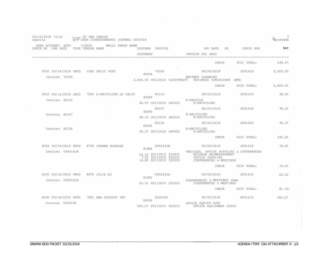| 09/12/2018 11:51<br>rgarcia                                     |                  | 'CITY OF SAN CARLOS<br>ATTY CASH DISBURSEMENTS JOURNAL S091418 |                                                                                             |                                                                                                                                              |                        | 3<br><sup>I</sup> gpcshdsb |
|-----------------------------------------------------------------|------------------|----------------------------------------------------------------|---------------------------------------------------------------------------------------------|----------------------------------------------------------------------------------------------------------------------------------------------|------------------------|----------------------------|
| CASH ACCOUNT: S000 110020 WELLS FARGO BANK<br>CHECK NO CHK DATE | TYPE VENDOR NAME |                                                                | VOUCHER INVOICE<br>DOCUMENT                                                                 | PO <sub>1</sub><br>INV DATE<br>INVOICE DTL DESC                                                                                              | CHECK RUN              | <b>NET</b>                 |
|                                                                 |                  |                                                                |                                                                                             | CHECK                                                                                                                                        | 8331 TOTAL:            | 248.57                     |
| 8332 09/14/2018 PRTD 5342 DAILY POST<br>Invoice: 70356          |                  |                                                                | 70356<br>82064                                                                              | 08/24/2018<br>BATTERY PLANNING                                                                                                               | S091418                | 2,925.00                   |
|                                                                 |                  |                                                                |                                                                                             | 2,925.00 80113010 520309BATT BUSINESS CONSULTANT (HFH)<br>CHECK                                                                              | 8332 TOTAL:            | 2,925.00                   |
| Invoice: 80114                                                  |                  | 8333 09/14/2018 PRTD 7504 E-RECYCLING OF CALIF                 | 80114<br>82089                                                                              | 08/03/2018<br>E-RECYCLE                                                                                                                      | S091418                | 48.93                      |
| Invoice: 80167                                                  |                  |                                                                | 48.93 S0113010 480025<br>80167<br>82090                                                     | E-RECYCLING<br>08/24/2018<br>E-RECYCLING                                                                                                     | 8091418                | 98.15                      |
| Invoice: 80124                                                  |                  |                                                                | 98.15 S0113010 480025<br>80124<br>82091                                                     | E-RECYCLING<br>08/24/2018<br>E-RECYCLING                                                                                                     | 8091418                | 95.37                      |
|                                                                 |                  |                                                                | 95.37 S0113010 480025                                                                       | E-RECYCLING                                                                                                                                  | CHECK 8333 TOTAL:      | 242.45                     |
| Invoice: 090618JR                                               |                  | 8334 09/14/2018 PRTD 8755 JOANNA ROSALES                       | 090618JR<br>81984<br>52.16 80113010 520801<br>7.02 80113010 520201<br>14.85 80113010 520503 | 09/06/2018 S091418<br>VEHICLES, OFFICE SUPPLIES & CONFERENCES<br>MILEAGE REIMBURSEMENT<br>OFFICE SUPPLIES<br>CONFERENCES & MEETINGS<br>CHECK | 8334 TOTAL:            | 74.03<br>74.03             |
| 8335 09/14/2018 PRTD 8878 JULIA AU<br>Invoice: 090618JA         |                  |                                                                | 090618JA<br>81965<br>22.10 80113010 520503                                                  | 09/06/2018<br>CONFERENCES & MEETINGS CRRA<br>CONFERENCES & MEETINGS                                                                          | S091418                | 22.10                      |
| Invoice: 5526184                                                |                  | 8336 09/14/2018 PRTD 7802 KBA DOCUSYS INC                      | 5526184<br>82096                                                                            | CHECK<br>08/25/2018<br>OFFICE EQUIPT COST<br>502.27 80113010 520215 OFFICE EQUIPMENT COSTS                                                   | 8335 TOTAL:<br>8091418 | 22.10.<br>502.27           |

\_\_\_\_\_\_\_\_\_\_\_\_\_\_\_\_\_\_\_\_\_\_\_\_\_\_\_\_\_\_\_\_\_\_\_\_\_\_\_\_\_\_\_\_\_\_\_\_\_

 $\sim$ 

\_\_\_\_\_\_\_\_\_\_\_\_\_\_\_\_\_\_\_\_\_\_\_\_\_\_\_\_\_\_\_\_\_\_\_\_\_\_\_\_\_\_\_\_\_\_\_\_\_\_\_\_ \_\_\_\_\_\_\_\_\_\_\_\_\_\_\_\_\_\_\_\_\_\_\_\_\_\_\_\_\_\_\_\_\_\_\_\_\_\_\_\_\_\_\_\_\_\_\_\_\_\_\_\_\_\_\_\_\_\_

 $\overline{a}$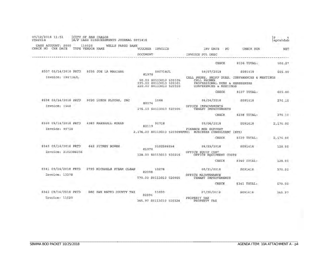| 09/12/2018 11:51<br>rgarcia                | CITY OF SAN CARLOS         | A/P CASH DISBURSEMENTS JOURNAL S091418 |                                                                           |                                                                                                                           |             | ₽<br>apcshdsb |
|--------------------------------------------|----------------------------|----------------------------------------|---------------------------------------------------------------------------|---------------------------------------------------------------------------------------------------------------------------|-------------|---------------|
| CASH ACCOUNT: S000<br>CHK DATE<br>CHECK NO | 110020<br>TYPE VENDOR NAME | WELLS FARGO BANK                       | VOUCHER<br>INVOICE                                                        | INV DATE<br>PO                                                                                                            | CHECK RUN   | NET           |
|                                            |                            |                                        | DOCUMENT                                                                  | INVOICE DTL DESC                                                                                                          |             |               |
|                                            |                            |                                        |                                                                           | CHECK                                                                                                                     | 8336 TOTAL: | 502.27        |
| 8337 09/14/2018 PRTD                       |                            | 8095 JOE LA MARIANA                    | 090718JL<br>81978                                                         | 09/07/2018                                                                                                                | S091418     | 605.00        |
| Invoice: 090718JL                          |                            |                                        | 90.00 S0113010 520105<br>295.00 80113010 520501<br>220.00 S0113010 520503 | CELL PHONE, PROFF DUES, CONFERENCES & MEETINGS<br>CELL PHONES<br>PROFESSIONAL DUES & MEMEBERSHS<br>CONFERENCES & MEETINGS |             |               |
|                                            |                            |                                        |                                                                           | <b>CHECK</b>                                                                                                              | 8337 TOTAL: | 605.00        |
| 8338 09/14/2018 PRTD                       |                            | 9020 LUXOR FLOORS, INC.                | 1548<br>82074                                                             | 08/24/2018                                                                                                                | S091418     | 276.10        |
| Invoice: 1548                              |                            |                                        | 276.10 \$0113010 520905                                                   | OFFICE IMPROVEMENTS<br>TENANT IMPROVEMENTS                                                                                |             |               |
|                                            |                            |                                        |                                                                           | <b>CHECK</b>                                                                                                              | 8338 TOTAL: | 276.10        |
| 8339 09/14/2018 PRTD                       |                            | 4383 MARSHALL MORAN                    | 90718<br>82119                                                            | 09/06/2018                                                                                                                | S091418     | 2,176.00      |
| Invoice: 90718                             |                            |                                        | 2,176.00 S0113010 520309HFM01                                             | FINANCE MGR SUPPORT<br>BUSINESS CONSULTANT                                                                                | (HFH)       |               |
|                                            |                            |                                        |                                                                           | <b>CHECK</b>                                                                                                              | 8339 TOTAL: | 2,176.00      |
| 8340 09/14/2018 PRTD                       | 449                        | <b>PITNEY BOWES</b>                    | 3102386056<br>81970                                                       | 08/23/2018                                                                                                                | S091418     | 128.00        |
| Invoice: 3102386056                        |                            |                                        | 128.00 S0113010 520215                                                    | OFFICE EQUIP COST<br>OFFICE EQUIPMENT COSTS                                                                               |             |               |
|                                            |                            |                                        |                                                                           | CHECK                                                                                                                     | 8340 TOTAL: | 128.00        |
| 8341 09/14/2018 PRTD                       |                            | 2795 MICHAELS STEAM CLEAN              | 13278<br>8209B                                                            | 08/31/2018                                                                                                                | S091418     | 570.00        |
| Invoice: 13278                             |                            |                                        | 570.00 S0113010 520905                                                    | OFFICE MAINTENANCE<br>TENANT IMPROVEMENTS                                                                                 |             |               |
|                                            |                            |                                        |                                                                           | <b>CHECK</b>                                                                                                              | 8341 TOTAL: | 570.00        |
| 8342 09/14/2018 PRTD                       | 680                        | SAN MATEO COUNTY TAX                   | 11020<br>82094                                                            | 07/20/2018                                                                                                                | S091418     | 345.97        |
| Invoice: 11020                             |                            |                                        | 345.97 S0113010 520324                                                    | PROPERTY TAX<br>PROPERTY TAX                                                                                              |             |               |

\_\_\_\_\_\_\_\_\_\_\_\_\_\_\_\_\_\_\_\_\_\_\_\_\_\_\_\_\_\_\_\_\_\_\_\_\_\_\_\_\_\_\_\_\_\_\_\_\_\_\_\_ \_\_\_\_\_\_\_\_\_\_\_\_\_\_\_\_\_\_\_\_\_\_\_\_\_\_\_\_\_\_\_\_\_\_\_\_\_\_\_\_\_\_\_\_\_\_\_\_\_\_\_\_\_\_\_\_\_\_

\_\_\_\_\_\_\_\_\_\_\_\_\_\_\_\_\_\_\_\_\_\_\_\_\_\_\_\_\_\_\_\_\_\_\_\_\_\_\_\_\_\_\_\_\_\_\_\_\_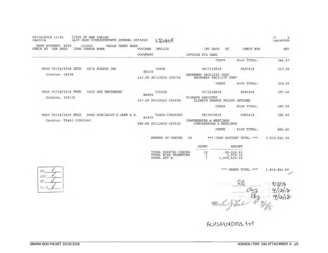| 09/12/2018 11:51<br>rgarcia                                               | CITY OF SAN CARLOS |        |                    | A/P CASH DISBURSEMENTS JOURNAL S091418 |                 | SBWMH                                                       |                                                  |                                                                |       |                                        | ъ<br>5<br>apcshdsb                  |
|---------------------------------------------------------------------------|--------------------|--------|--------------------|----------------------------------------|-----------------|-------------------------------------------------------------|--------------------------------------------------|----------------------------------------------------------------|-------|----------------------------------------|-------------------------------------|
| CASH ACCOUNT: S000<br>CHECK NO CHK DATE                                   | TYPE VENDOR NAME   | 110020 |                    | WELLS FARGO BANK                       | VOUCHER INVOICE |                                                             |                                                  | INV DATE                                                       | PO.   | CHECK RUN                              | NET                                 |
|                                                                           |                    |        |                    |                                        | <b>DOCUMENT</b> |                                                             |                                                  | INVOICE DTL DESC                                               |       |                                        |                                     |
|                                                                           |                    |        |                    |                                        |                 |                                                             |                                                  |                                                                | CHECK | 8342 TOTAL:                            | 345.97                              |
| 8343 09/14/2018 PRTD 5875 SCAPES INC                                      |                    |        |                    |                                        | 82100           | 18458                                                       |                                                  | 08/31/2018                                                     |       | S091418                                | 315.00                              |
| Invoice: 18458                                                            |                    |        |                    |                                        |                 | 315,00 S0113010 522714                                      | SHOREWAY FACILITY COST<br>SHOREWAY FACILITY COST |                                                                |       |                                        |                                     |
|                                                                           |                    |        |                    |                                        |                 |                                                             |                                                  |                                                                | CHECK | 8343 TOTAL:                            | 315.00                              |
| 8344 09/14/2018 PRTD                                                      |                    |        | 3022 SCS ENGINEERS |                                        | 82084           | 330130                                                      |                                                  | 07/31/2018                                                     |       | S091418                                | 497.00                              |
| Invoice: 330130                                                           |                    |        |                    |                                        |                 | 497.00 S0113010 520608                                      |                                                  | CLIMATE REGISTRY                                               |       | CLIMATE CHANGE POLICY OPTIONS          |                                     |
|                                                                           |                    |        |                    |                                        |                 |                                                             |                                                  |                                                                | CHECK | 8344 TOTAL:                            | 497.00                              |
| 8345 09/14/2018 PRTD 5443 SPECIALTY'S CAFE & B<br>Invoice: T2423-19925905 |                    |        |                    |                                        | 81972           | T2423-19925905<br>286.82 S0113010 520503                    |                                                  | 08/30/2018<br>CONFERENCES & MEETINGS<br>CONFERENCES & MEETINGS |       | 5091418                                | <b>Service Controller</b><br>286.82 |
|                                                                           |                    |        |                    |                                        |                 |                                                             |                                                  |                                                                | CHECK | 8345 TOTAL:                            | 286.82                              |
|                                                                           |                    |        |                    |                                        |                 | NUMBER OF CHECKS                                            | 24                                               |                                                                |       | *** CASH ACCOUNT TOTAL ***             | 1,834,841.60                        |
|                                                                           |                    |        |                    |                                        |                 |                                                             |                                                  | COUNT                                                          |       | AMOUNT                                 |                                     |
|                                                                           |                    |        |                    |                                        |                 | TOTAL PRINTED CHECKS<br>TOTAL WIRE TRANSFERS<br>TOTAL EFT'S |                                                  | 16<br>$\mathbf{1}$<br>7                                        |       | 23, 216.81<br>1,972.39<br>1,809,652.40 |                                     |
| C.P                                                                       |                    |        |                    |                                        |                 |                                                             |                                                  |                                                                |       | *** GRAND TOTAL ***                    | 1,834,841.60                        |
| ARP                                                                       |                    |        |                    |                                        |                 |                                                             |                                                  |                                                                |       |                                        |                                     |
|                                                                           |                    |        |                    |                                        |                 |                                                             |                                                  |                                                                |       |                                        |                                     |

and 9/12/18 Mahal Jetal

ACHSOGI40001. +x+

\_\_\_\_\_\_\_\_\_\_\_\_\_\_\_\_\_\_\_\_\_\_\_\_\_\_\_\_\_\_\_\_\_\_\_\_\_\_\_\_\_\_\_\_\_\_\_\_\_\_\_\_ \_\_\_\_\_\_\_\_\_\_\_\_\_\_\_\_\_\_\_\_\_\_\_\_\_\_\_\_\_\_\_\_\_\_\_\_\_\_\_\_\_\_\_\_\_\_\_\_\_\_\_\_\_\_\_\_\_\_

\_\_\_\_\_\_\_\_\_\_\_\_\_\_\_\_\_\_\_\_\_\_\_\_\_\_\_\_\_\_\_\_\_\_\_\_\_\_\_\_\_\_\_\_\_\_\_\_\_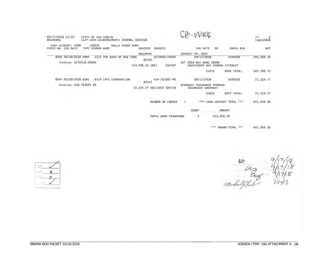| 09/17/2018 13:33<br>CITY OF SAN CARLOS<br>ebundang<br>A/P CASH DISBURSEMENTS JOURNAL S092018 |                                                                        | SB-WIRE                                                                                     |                        | P<br>apcshdsb |
|----------------------------------------------------------------------------------------------|------------------------------------------------------------------------|---------------------------------------------------------------------------------------------|------------------------|---------------|
| 110020<br>CASH ACCOUNT: S000<br>WELLS FARGO BANK<br>TYPE VENDOR NAME<br>CHECK NO<br>CHK DATE | <b>VOUCHER</b><br>INVOICE                                              | INV DATE<br>PO.                                                                             | CHECK RUN              | <b>NET</b>    |
| 8346 09/20/2018 WTRE<br>2223 THE BANK OF NEW YORK<br>Invoice: OCT2018-2009A                  | <b>DOCUMENT</b><br>OCT2018-2009A<br>82140<br>343,708.33 SO11<br>114467 | INVOICE DTL DESC<br>09/17/2018<br>OCT 2018 BNY BOND 2009A<br>INVESTMENT BNY 2009AB INTEREST | 5092018                | 343,708.33    |
|                                                                                              |                                                                        | CHECK                                                                                       | 8346 TOTAL:            | 343,708.33    |
| 8347 09/20/2018 WIRE<br>8579 IPFS CORPORATION<br>Invoice: NJN-783692 #3                      | NJN-783692 #3<br>82141<br>72,229.77 50113010 520710                    | 09/17/2018<br>SHOREWAY INSURANCE PREMIUM<br>INSURANCE SHOREWAY                              | S092018                | 72,229.77     |
|                                                                                              |                                                                        | CHECK                                                                                       | 8347 TOTAL:            | 72,229,77     |
|                                                                                              | NUMBER OF CHECKS                                                       | $\overline{2}$                                                                              | CASH ACCOUNT TOTAL *** | 415,938.10    |
|                                                                                              |                                                                        | COUNT                                                                                       | AMOUNT                 |               |
|                                                                                              | TOTAL WIRE TRANSFERS                                                   | 2                                                                                           | 415,938.10             |               |

415,938.10 \*\*\* GRAND TOTAL \*\*\*

 $\frac{48}{117/18}$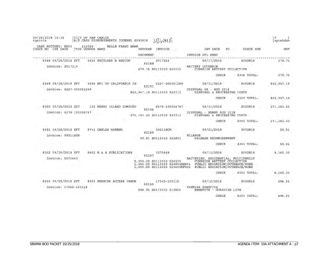| CASH ACCOUNT: S000      | 110020             | WELLS FARGO BANK          | A/P CASH DISBURSEMENTS JOURNAL S092818 SBWMH                                               |                                                                                                                                        |             |             |
|-------------------------|--------------------|---------------------------|--------------------------------------------------------------------------------------------|----------------------------------------------------------------------------------------------------------------------------------------|-------------|-------------|
| CHECK NO CHK DATE       | TYPE VENDOR NAME   |                           | VOUCHER<br>INVOICE                                                                         | INV DATE<br>PO                                                                                                                         | CHECK RUN   | NET         |
|                         |                    |                           | DOCUMENT                                                                                   | INVOICE DTL DESC                                                                                                                       |             |             |
| 8348 09/28/2018 EFT     |                    | 5524 KATHLEEN B BENTON    | 2017214<br>82189                                                                           | 09/17/2018                                                                                                                             | S092818     | 679.75      |
| Invoice: 2017214        |                    |                           | 679.75 S0113010 520335                                                                     | <b>BATTERY OUTREACH</b><br>CURBSIDE BATTERY COLLECTION                                                                                 |             |             |
|                         |                    |                           |                                                                                            | CHECK                                                                                                                                  | 8348 TOTAL: | 679.75      |
| 8349 09/28/2018 EFT     |                    | 5556 BFI OF CALIFORNIA IN | 4227-000051289<br>82151                                                                    | 08/31/2018                                                                                                                             | S092818     | 842, 947.19 |
| Invoice: 4227-000051289 |                    |                           | 842, 947.19 S0113010 522713                                                                | DISPOSAL OX - AUG 2018<br>DISPOSAL & PROCESSING COSTS                                                                                  |             |             |
|                         |                    |                           |                                                                                            | CHECK                                                                                                                                  | 8349 TOTAL: | 842, 947.19 |
| 8350 09/28/2018 EFT     |                    | 152 NEWBY ISLAND COMPOST  | 4278-100004747<br>82154                                                                    | 08/31/2018                                                                                                                             | S092818     | 271, 183.25 |
| Invoice: 4278-100004747 |                    |                           | 271, 183.25 \$0113010 522713                                                               | DISPOSAL - NEWBY AUG 2018<br>DISPOSAL & PROCESSING COSTS                                                                               |             |             |
|                         |                    |                           |                                                                                            | CHECK                                                                                                                                  | 8350 TOTAL: | 271, 183.25 |
| 8351 09/28/2018 EFT     | 8741 CARLOS MORENC |                           | 092118CM<br>82169                                                                          | 09/21/2018                                                                                                                             | S092818     | 59.81       |
| Invoice: 092118CM       |                    |                           | 59.81 S0113010 520801                                                                      | MILEAGE.<br>MILEAGE REIMBURSEMENT                                                                                                      |             |             |
|                         |                    |                           |                                                                                            | <b>CHECK</b>                                                                                                                           | 8351 TOTAL: | 59.81       |
| 8352 09/28/2018 EFT     |                    | 8952 N & R PUBLICATIONS   | 0270649<br>82167                                                                           | 09/13/2018                                                                                                                             | S092818     | 8,160.00    |
| Invoice: 0270649        |                    |                           | 5,250.00 S0113010 520335<br>1,455.00 S0113010 520604RES01<br>1,455.00 S0113010 520604MF001 | BATTERIES, RESIDENTIAL, MULTIFAMILY<br>CURBSIDE BATTERY COLLECTION<br>PUBLIC EDUCATION/OUTREACH/WORK<br>PUBLIC EDUCATION/OUTREACH/WORK |             |             |
|                         |                    |                           |                                                                                            | CHECK                                                                                                                                  | 8352 TOTAL: | 8,160.00    |
| 8353 09/28/2018 EFT     |                    | 8293 PREMIER ACCESS INSUR | 17242-100118<br>82150                                                                      | 09/10/2018                                                                                                                             | S092818     | 898.35      |
| Invoice: 17242-100118   |                    |                           | 898.35 S0113010 512850                                                                     | PREMIER BENEFITS<br>BENEFITS - GUARDIAN LIFE                                                                                           |             |             |
|                         |                    |                           |                                                                                            | CHECK                                                                                                                                  | 8353 TOTAL: | 898.35      |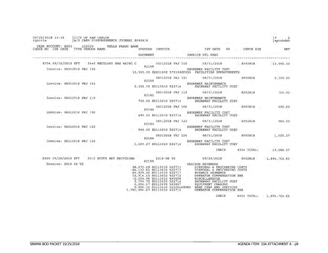| 09/28/2018 10:16<br>CITY OF SAN CARLOS<br>rgarcia                                   | A/P CASH DISBURSEMENTS JOURNAL S092818                                                                                                                                                                                                                                                                                                                                                                                                                                                                       |                                                                         |                   | apcshdsb          |
|-------------------------------------------------------------------------------------|--------------------------------------------------------------------------------------------------------------------------------------------------------------------------------------------------------------------------------------------------------------------------------------------------------------------------------------------------------------------------------------------------------------------------------------------------------------------------------------------------------------|-------------------------------------------------------------------------|-------------------|-------------------|
| CASH ACCOUNT: S000 110020 WELLS FARGO BANK<br>TYPE VENDOR NAME<br>CHECK NO CHK DATE | VOUCHER INVOICE                                                                                                                                                                                                                                                                                                                                                                                                                                                                                              | INV DATE PO CHECK RUN                                                   |                   | NET               |
|                                                                                     | DOCUMENT                                                                                                                                                                                                                                                                                                                                                                                                                                                                                                     | INVOICE DTL DESC                                                        |                   |                   |
| 8354 09/28/2018 EFT                                                                 | 5446 RECOLOGY SAN MATEO C<br>82156                                                                                                                                                                                                                                                                                                                                                                                                                                                                           | 05312018 PRJ 105 05/31/2018                                             | S092818           | 13,565.00         |
| Invoice: 05312018 PRJ 105                                                           | 13,565.00 S2251000 570300SF053 FACILITIES IMPROVEMENTS                                                                                                                                                                                                                                                                                                                                                                                                                                                       | SHOREWAY FACILITY COST                                                  |                   |                   |
|                                                                                     | 82160                                                                                                                                                                                                                                                                                                                                                                                                                                                                                                        | 08312018 PRJ 121 08/31/2018 S092818                                     |                   | 2,350.00          |
| Invoice: 08312018 PRJ 121                                                           | 2,350.00 S0113010 522714 SHOREWAY FACILITY COST                                                                                                                                                                                                                                                                                                                                                                                                                                                              | SHOREWAY MAINTENANCE                                                    |                   |                   |
|                                                                                     | 82161                                                                                                                                                                                                                                                                                                                                                                                                                                                                                                        | 08312018 PRJ 119 08/31/2018 8092818 700.00                              |                   | --                |
| Invoice: 08312018 PRJ 119                                                           | 700.00 S0113010 522714 SHOREWAY FACILITY COST                                                                                                                                                                                                                                                                                                                                                                                                                                                                | SHOREWAY MAINTENANCE                                                    |                   |                   |
|                                                                                     | 82162                                                                                                                                                                                                                                                                                                                                                                                                                                                                                                        | 08312018 PRJ 106 08/31/2018 5092818                                     |                   | Pack To<br>490.00 |
| Invoice: 08312018 PRJ 106                                                           |                                                                                                                                                                                                                                                                                                                                                                                                                                                                                                              | SHOREWAY FACILITY COST<br>490.00 S0113010 522714 SHOREWAY FACILITY COST |                   |                   |
|                                                                                     | 82163                                                                                                                                                                                                                                                                                                                                                                                                                                                                                                        | 08312018 PRJ 122 08/31/2018 S092818                                     |                   | 960.00            |
| Invoice: 08312018 PRJ 122                                                           |                                                                                                                                                                                                                                                                                                                                                                                                                                                                                                              | SHOREWAY FACILITY COST<br>960.00 S0113010 522714 SHOREWAY FACILITY COST |                   |                   |
|                                                                                     | 82164                                                                                                                                                                                                                                                                                                                                                                                                                                                                                                        | 08312018 PRJ 124 08/31/2018 5092818                                     |                   | 1,520.37          |
| Invoice: 08312018 PRJ 124                                                           | 1,520.37 S0113010 522714 SHOREWAY FACILITY COST                                                                                                                                                                                                                                                                                                                                                                                                                                                              | SHOREWAY FACILITY COST                                                  |                   |                   |
|                                                                                     |                                                                                                                                                                                                                                                                                                                                                                                                                                                                                                              |                                                                         | CHECK 8354 TOTAL: | 19,585.37         |
| 8355 09/28/2018 EFT                                                                 | 5512 SOUTH BAY RECYCLING<br>2018-08 V2<br>82155                                                                                                                                                                                                                                                                                                                                                                                                                                                              | 09/20/2018 3092818                                                      |                   | 1,894,703.85      |
| Invoice: 2018-08 V2                                                                 | 38,473.29 S0113010 522713 DISPOSAL & PROCESSING COSTS<br>38, 473.25 SOLI3010 522713 DISPOSAL & PROCESSING COSTS<br>46, 132.62 SOLI3010 522713 DISPOSAL & PROCESSING COSTS<br>83, 929, 30 SOLI3010 522717 BUYBACK PAYMENTS<br>12, 914.13 SOLI3010 520712 OPERATOR COMPENSATION SBR<br>-2, 200.9<br>12, 914.13 S0113010 522712<br>-2, 200.94 S0113010 480008<br>3, 795.75 S0113010 522714<br>2, 224.17 S0113010 520207<br>9,806.10 S0113010 5202025HORE BANK FEES AND SERVICES<br>1,791,894.67 S0113010 522712 | VARIOUS EXPENSES<br>EQUIPMENT CHARGES<br>OPERATOR COMPENSATION SBR      |                   |                   |

CHECK 8355 TOTAL: 1,894,703.85 **CONTRACTOR**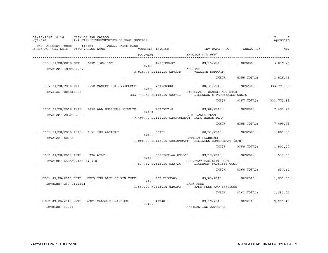| 09/28/2018 10:16<br>rgarcia |  |                      | CITY OF SAN CARLOS<br>A/P CASH DISBURSEMENTS JOURNAL S092818 |               |                       |                           |                |                              |                                                                  |    |             | Þ<br>apcshdsb |
|-----------------------------|--|----------------------|--------------------------------------------------------------|---------------|-----------------------|---------------------------|----------------|------------------------------|------------------------------------------------------------------|----|-------------|---------------|
| CHECK NO CHK DATE           |  | CASH ACCOUNT: S000   | 110020<br>TYPE VENDOR NAME                                   |               |                       | WELLS FARGO BANK          | <b>VOUCHER</b> | INVOICE                      | INV DATE                                                         | PO | CHECK RUN   | <b>NET</b>    |
|                             |  |                      |                                                              |               |                       |                           | DOCUMENT       |                              | INVOICE DTL DESC                                                 |    |             |               |
|                             |  | 8356 09/28/2018 EFT  |                                                              | 3892 T324 INC |                       |                           | 82168          | IN90580607                   | 09/15/2018                                                       |    | S092818     | 3,016.75      |
|                             |  | Invoice: IN90580607  |                                                              |               |                       |                           |                | 3,016.75 S0113010 520338     | WEBSITE<br><b>WEBSITE SUPPORT</b>                                |    |             |               |
|                             |  |                      |                                                              |               |                       |                           |                |                              | CHECK                                                            |    | 8356 TOTAL: | 3,016.75      |
|                             |  | 8357 09/28/2018 EFT  |                                                              |               |                       | 5558 ZANKER ROAD RESOURCE | 82153          | 201808380                    | 08/31/2018                                                       |    | S092818     | 333, 773.58   |
|                             |  | Invoice: 201808380   |                                                              |               |                       |                           |                | 333, 773.58 S0113010 522713  | DISPOSAL - ZANKER AUG 2018<br>DISPOSAL & PROCESSING COSTS        |    |             |               |
|                             |  |                      |                                                              |               |                       |                           |                |                              | CHECK                                                            |    | 8357 TOTAL: | 333, 773.58   |
|                             |  | 8358 09/28/2018 PRTD |                                                              |               |                       | 8830 AAA BUSINESS SUPPLIE | 82191          | 2030752-0                    | 09/06/2018                                                       |    | S092818     | 7,499.79      |
|                             |  | Invoice: 2030752-0   |                                                              |               |                       |                           |                |                              | LONG RANGE PLAN<br>7,499.79 S0113010 520340LRPU1 LONG RANGE PLAN |    |             |               |
|                             |  |                      |                                                              |               |                       |                           |                |                              | CHECK                                                            |    | 8358 TOTAL: | 7,499.79      |
|                             |  | 8359 09/28/2018 PRTD |                                                              |               | 3151 THE ALMANAC      |                           | 82187          | 60131                        | 08/31/2018                                                       |    | S092818     | 1,000.00      |
|                             |  | Invoice: 60131       |                                                              |               |                       |                           |                | 1,000.00 S0113010 520309BATT | BATTERY PLANNING<br>BUSINESS CONSULTANT (HFH)                    |    |             |               |
|                             |  |                      |                                                              |               |                       |                           |                |                              | CHECK                                                            |    | 8359 TOTAL: | 1,000.00      |
|                             |  | 8360 09/28/2018 PRTD |                                                              | 776 AT&T      |                       |                           | 82179          | 6505967146-091318            | 09/13/2018                                                       |    | S092818     | 537.50        |
|                             |  |                      | Invoice: 6505967146-091318                                   |               |                       |                           |                | 537.50 S0113010 522714       | SHOREWAY FACILITY COST<br>SHOREWAY FACILITY COST                 |    |             |               |
|                             |  |                      |                                                              |               |                       |                           |                |                              | CHECK                                                            |    | 8360 TOTAL: | 537.50        |
|                             |  | 8361 09/28/2018 PRTD |                                                              |               |                       | 2223 THE BANK OF NEW YORK | 82176          | 252-2135383                  | 09/03/2018                                                       |    | S092818     | 1,650.00      |
|                             |  | Invoice: 252-2135383 |                                                              |               |                       |                           |                | 1,650.00 S0113010 520202     | <b>BANK FEES</b><br>BANK FEES AND SERVICES                       |    |             |               |
|                             |  |                      |                                                              |               |                       |                           |                |                              | CHECK                                                            |    | 8361 TOTAL: | 1,650.00      |
|                             |  | 8362 09/28/2018 PRTD |                                                              |               | 6921 CLASSIC GRAPHICS |                           | 82183          | 40248                        | 09/19/2018                                                       |    | S092818     | 9,296.41      |
|                             |  | Invoice: 40248       |                                                              |               |                       |                           |                |                              | RESIDENTIAL OUTREACH                                             |    |             |               |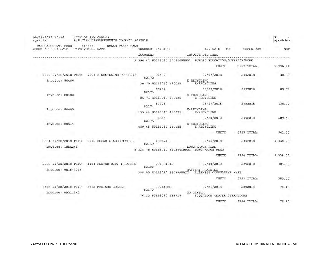| 09/28/2018 10:16<br>rgarcia                | CITY OF SAN CARLOS         |                     | A/P CASH DISBURSEMENTS JOURNAL S092818 |                            |                                         |                                                                                |    |                                 | P<br>apcshdsb    |
|--------------------------------------------|----------------------------|---------------------|----------------------------------------|----------------------------|-----------------------------------------|--------------------------------------------------------------------------------|----|---------------------------------|------------------|
| CASH ACCOUNT: S000<br>CHK DATE<br>CHECK NO | 110020<br>TYPE VENDOR NAME |                     | WELLS FARGO BANK                       | VOUCHER<br><b>DOCUMENT</b> | INVOICE                                 | INV DATE<br>INVOICE DTL DESC                                                   | PO | CHECK RUN                       | <b>NET</b>       |
|                                            |                            |                     |                                        |                            |                                         | 9,296.41 S0113010 520604RES01 PUBLIC EDUCATION/OUTREACH/WORK                   |    |                                 |                  |
|                                            |                            |                     |                                        |                            |                                         | CHECK                                                                          |    | 8362 TOTAL:                     | 9,296.41         |
| 8363 09/28/2018 PRTD<br>Invoice: 80480     |                            |                     | 7504 E-RECYCLING OF CALIF              | 82172                      | 80480<br>30.70 S0113010 480025          | 09/07/2018<br>E-RECYCLING<br>E-RECYCLING                                       |    | S092818                         | 30.70            |
| Invoice: 80482                             |                            |                     |                                        | 82173                      | 80482<br>85.73 S0113010 480025          | 09/07/2018<br>E-RECYCLING<br>E-RECYCLING                                       |    | S092818                         | 85.73            |
| Invoice: 80409                             |                            |                     |                                        | 82174                      | 80409<br>135.44 S0113010 480025         | 09/07/2018<br>E-RECYLING<br>E-RECYCLING                                        |    | S092818                         | 135.44           |
| Invoice: 80514                             |                            |                     |                                        | 82175                      | 80514<br>689.48 S0113010 480025         | 09/20/2018<br>E-RECYCLING<br>E-RECYCLING                                       |    | S092818                         | 689.48           |
|                                            |                            |                     |                                        |                            |                                         | CHECK                                                                          |    | 8363 TOTAL:                     | 941.35           |
| 8364 09/28/2018 PRTD<br>Invoice: 18EA246   |                            |                     | 9019 EDGAR & ASSOCIATES,               | 82159                      | 18EA246                                 | 09/11/2018<br>LONG RANGE PLAN<br>9,338.75 S0113010 520340LRPUl LONG RANGE PLAN |    | S092818                         | 9,338.75         |
|                                            |                            |                     |                                        |                            |                                         | CHECK                                                                          |    | 8364 TOTAL:                     | 9,338.75         |
| 8365 09/28/2018 PRTD<br>Invoice: 9818-1015 |                            |                     | 4424 FOSTER CITY ISLANDER              | 82188                      | 9818-1015<br>385.00 S0113010 520309BATT | 09/08/2018<br>BATTERY PLANNING<br>BUSINESS CONSULTANT<br>CHECK                 |    | S092818<br>(HFH)<br>8365 TOTAL: | 385.00<br>385.00 |
| 8366 09/28/2018 PRTD<br>Invoice: 092118MG  |                            | 8718 MADISON GUZMAN |                                        | 82170                      | 092118MG<br>76.10 S0113010 522718       | 09/21/2018<br>ED CENTER<br>EDUCATION CENTER OPERATIONS                         |    | S092818                         | 76.10            |
|                                            |                            |                     |                                        |                            |                                         | CHECK                                                                          |    | 8366 TOTAL:                     | 76.10            |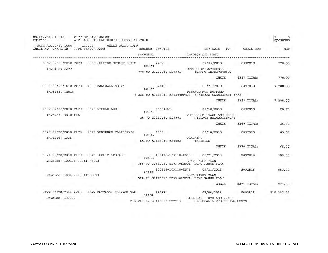| 09/28/2018 10:16<br>rgarcia                         | CITY OF SAN CARLOS         | A/P CASH DISBURSEMENTS JOURNAL S092818 |                  |                                     |                                   |                                                   |                 |                                                                      |    |             | ₽<br>apcshdsb |
|-----------------------------------------------------|----------------------------|----------------------------------------|------------------|-------------------------------------|-----------------------------------|---------------------------------------------------|-----------------|----------------------------------------------------------------------|----|-------------|---------------|
| CASH ACCOUNT: S000<br>CHK DATE<br>CHECK NO          | 110020<br>TYPE VENDOR NAME |                                        | WELLS FARGO BANK | <b>VOUCHER</b>                      | INVOICE                           |                                                   |                 | INV DATE                                                             | PO | CHECK RUN   | NET           |
|                                                     |                            |                                        |                  | DOCUMENT                            |                                   |                                                   |                 | INVOICE DTL DESC                                                     |    |             |               |
| 8367 09/28/2018 PRTD<br>Invoice: 2277               |                            | 8585 SHELTER DESIGN BUILD              |                  | 82178<br>770.00 S0113010 520905     | 2277                              |                                                   |                 | 07/05/2018<br>OFFICE IMPROVEMENTS<br>TENANT IMPROVEMENTS             |    | S092818     | 770.00        |
|                                                     |                            |                                        |                  |                                     |                                   |                                                   |                 | CHECK                                                                |    | 8367 TOTAL: | 770.00        |
| 8368 09/28/2018 PRTD<br>Invoice: 92018              |                            | 4383 MARSHALL MORAN                    |                  | 82177                               | 92018                             | 7,288.00 S0113010 520309HFM01                     |                 | 09/21/2018<br>FINANCE MGR SUPPORT<br>BUSINESS CONSULTANT (HFH)       |    | S092818     | 7,288.00      |
|                                                     |                            |                                        |                  |                                     |                                   |                                                   |                 | CHECK                                                                |    | 8368 TOTAL: | 7,288.00      |
| 8369 09/28/2018 PRTD<br>Invoice: 091818NL           |                            | 8690 NICOLE LEE                        |                  | 82171                               | 091818NL<br>28.70 S0113010 520801 |                                                   |                 | 09/18/2018<br>VEHICLE MILEAGE AND TOLLS<br>MILEAGE REIMBURSEMENT     |    | S092818     | 28.70         |
|                                                     |                            |                                        |                  |                                     |                                   |                                                   |                 | CHECK                                                                |    | 8369 TOTAL: | 28,70         |
| 8370 09/28/2018 PRTD<br>Invoice: 1335               |                            | 2035 NORTHERN CALIFORNIA               |                  | 82185                               | 1335<br>65.00 S0113010 520502     |                                                   | TRAINING        | 09/18/2018<br>TRAINING                                               |    | S092818     | 65.00         |
|                                                     |                            |                                        |                  |                                     |                                   |                                                   |                 | CHECK                                                                |    | 8370 TOTAL: | 65.00         |
| 8371 09/28/2018 PRTD<br>Invoice: 100118-103118-E603 |                            | 8845 PUBLIC STORAGE                    |                  | 82165                               |                                   | 100118-103118-E603                                | LONG RANGE PLAN | 09/21/2018<br>395.00 S0113010 520340LRPU1 LONG RANGE PLAN            |    | S092818     | 395.00        |
| Invoice: 100118-103118-E673                         |                            |                                        |                  | 82166                               |                                   | 100118-103118-E673<br>580.00 S0113010 520340LRPU1 | LONG RANGE PLAN | 09/21/2018<br>LONG RANGE PLAN                                        |    | S092818     | 580.00        |
|                                                     |                            |                                        |                  |                                     |                                   |                                                   |                 | CHECK                                                                |    | 8371 TOTAL: | 975.00        |
| 8372 09/28/2018 PRTD<br>Invoice: 180831             | 5557                       | RECOLOGY BLOSSOM                       | VAL              | 82152<br>215,207.87 S0113010 522713 | 180831                            |                                                   |                 | 09/06/2018<br>DISPOSAL - BVO AUG 2018<br>DISPOSAL & PROCESSING COSTS |    | S092818     | 215, 207.87   |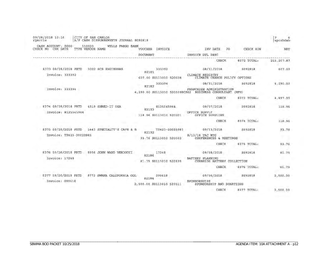| 09/28/2018 10:16<br>rgarcia                     | CITY OF SAN CARLOS<br>A/P CASH DISBURSEMENTS JOURNAL S092818 |                                                  |                                                                         |                        | Р<br>6<br>apcshdsb |
|-------------------------------------------------|--------------------------------------------------------------|--------------------------------------------------|-------------------------------------------------------------------------|------------------------|--------------------|
| CASH ACCOUNT: S000<br>CHK DATE<br>CHECK NO      | 110020<br>WELLS FARGO BANK<br>TYPE VENDOR NAME               | VOUCHER<br>INVOICE<br>DOCUMENT                   | INV DATE<br>PO.<br>INVOICE DTL DESC                                     | CHECK RUN              | <b>NET</b>         |
|                                                 |                                                              |                                                  | CHECK                                                                   | 8372 TOTAL:            | 215, 207.87        |
| 8373 09/28/2018 PRTD<br>Invoice: 333392         | 3022 SCS ENGINEERS                                           | 333392<br>82181                                  | 08/31/2018<br>CLIMATE REGISTRY                                          | S092818                | 607.00             |
| Invoice: 333394                                 |                                                              | 607.00 S0113010 520608<br>333394<br>82182        | CLIMATE CHANGE POLICY OPTIONS<br>08/31/2018<br>FRANCHISE ADMINISTRATION | S092818                | 4,290.00           |
|                                                 |                                                              | 4,290.00 S0113010 520309HCS02                    | BUSINESS CONSULTANT (HFH)<br><b>CHECK</b>                               | 8373 TOTAL:            | 4,897.00           |
| 6374 09/28/2018 PRTD<br>Invoice: 8125545944     | 4519<br>SHRED                                                | 8125545944<br>82193<br>118.96 S0113010 520201    | 09/07/2018<br>OFFICE SUPPLY<br>OFFICE SUPPLIES                          | S092818                | 118.96             |
|                                                 |                                                              |                                                  | CHECK                                                                   | 8374 TOTAL:            | 118.96             |
| 8375 09/28/2018 PRTD<br>Invoice: T2423-20023983 | 5443 SPECIALTY'S CAFE & B                                    | T2423-20023983<br>82192<br>93.76 S0113010 520503 | 09/13/2018<br>$9/13/18$ TAC MTG<br>CONFERENCES & MEETINGS               | S092818                | 93.76              |
|                                                 |                                                              |                                                  | <b>CHECK</b>                                                            | 8375 TOTAL:            | 93.76              |
| 8376 09/28/2018 PRTD<br>Invoice: 17248          | 8956 JOHN WARD<br>VERDUCCT                                   | 17248<br>82186<br>81.75 S0113010 520335          | 09/08/2018<br>BATTERY PLANNING<br>CURBSIDE BATTERY COLLECTION<br>CHECK  | S092818<br>8376 TOTAL: | 81.75<br>81.75     |
| 8377 09/28/2018 PRTD<br>Invoice: 090618         | 8773 SWANA CALIFORNIA GOL                                    | 090618<br>82184<br>2,500.00 S0113010 520511      | 09/06/2018<br>SPONSORSHIPS<br>SPONSORSHIP AND DONATIONS                 | 5092818                | 2,500.00           |
|                                                 |                                                              |                                                  | <b>CHECK</b>                                                            | 8377 TOTAL:            | 2,500.00           |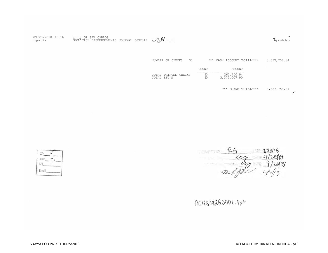| 09/28/2018 10:16<br>rgarcia $R/F$ CASH DISBURSEMENTS JOURNAL S092818 s; $F$ $W$ |  | $\frac{1}{2}$ pcshdsb |
|---------------------------------------------------------------------------------|--|-----------------------|
|                                                                                 |  |                       |

NUMBER OF CHECKS 30 \*\*\* CASH ACCOUNT TOTAL\*\*\* 3,637,758.84

|             |                      | <b>COUNT</b> | AMOUNT                     |
|-------------|----------------------|--------------|----------------------------|
| TOTAL EFT'S | TOTAL PRINTED CHECKS | 20<br>10     | 262,750.94<br>3,375,007.90 |

\*\*\* GRAND TOTAL\*\*\* 3,637,758.84  $\overline{\phantom{0}}$ 

 $\frac{26}{92}$  9/28/18<br>9/28/18<br>9/4/18

 $CP_{\underline{\phantom{A}}\phantom{A}}$  $ARP_7<$ EFT\_ Em:iil

 $\sim 10^{-1}$ 

 $ACHS09280001.+x+$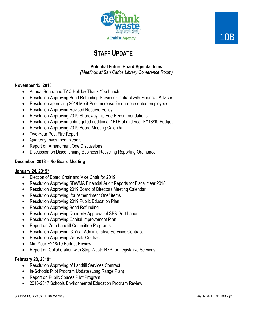



# **STAFF UPDATE**

# **Potential Future Board Agenda Items**

*(Meetings at San Carlos Library Conference Room)* 

# **November 15, 2018**

- Annual Board and TAC Holiday Thank You Lunch
- Resolution Approving Bond Refunding Services Contract with Financial Advisor
- Resolution approving 2019 Merit Pool Increase for unrepresented employees
- Resolution Approving Revised Reserve Policy
- Resolution Approving 2019 Shoreway Tip Fee Recommendations
- Resolution Approving unbudgeted additional 1FTE at mid-year FY18/19 Budget
- Resolution Approving 2019 Board Meeting Calendar
- Two-Year Post Fire Report
- Quarterly Investment Report
- Report on Amendment One Discussions
- Discussion on Discontinuing Business Recycling Reporting Ordinance

# **December, 2018 – No Board Meeting**

# **January 24, 2019\***

- Election of Board Chair and Vice Chair for 2019
- Resolution Approving SBWMA Financial Audit Reports for Fiscal Year 2018
- Resolution Approving 2019 Board of Directors Meeting Calendar
- Resolution Approving for "Amendment One" items
- Resolution Approving 2019 Public Education Plan
- Resolution Approving Bond Refunding
- Resolution Approving Quarterly Approval of SBR Sort Labor
- Resolution Approving Capital Improvement Plan
- Report on Zero Landfill Committee Programs
- Resolution Approving 3-Year Administrative Services Contract
- Resolution Approving Website Contract
- Mid-Year FY18/19 Budget Review
- Report on Collaboration with Stop Waste RFP for Legislative Services

# **February 28, 2019\***

- Resolution Approving of Landfill Services Contract
- In-Schools Pilot Program Update (Long Range Plan)
- Report on Public Spaces Pilot Program
- 2016-2017 Schools Environmental Education Program Review

 $\_$  ,  $\_$  ,  $\_$  ,  $\_$  ,  $\_$  ,  $\_$  ,  $\_$  ,  $\_$  ,  $\_$  ,  $\_$  ,  $\_$  ,  $\_$  ,  $\_$  ,  $\_$  ,  $\_$  ,  $\_$  ,  $\_$  ,  $\_$  ,  $\_$  ,  $\_$  ,  $\_$  ,  $\_$  ,  $\_$  ,  $\_$  ,  $\_$  ,  $\_$  ,  $\_$  ,  $\_$  ,  $\_$  ,  $\_$  ,  $\_$  ,  $\_$  ,  $\_$  ,  $\_$  ,  $\_$  ,  $\_$  ,  $\_$  ,